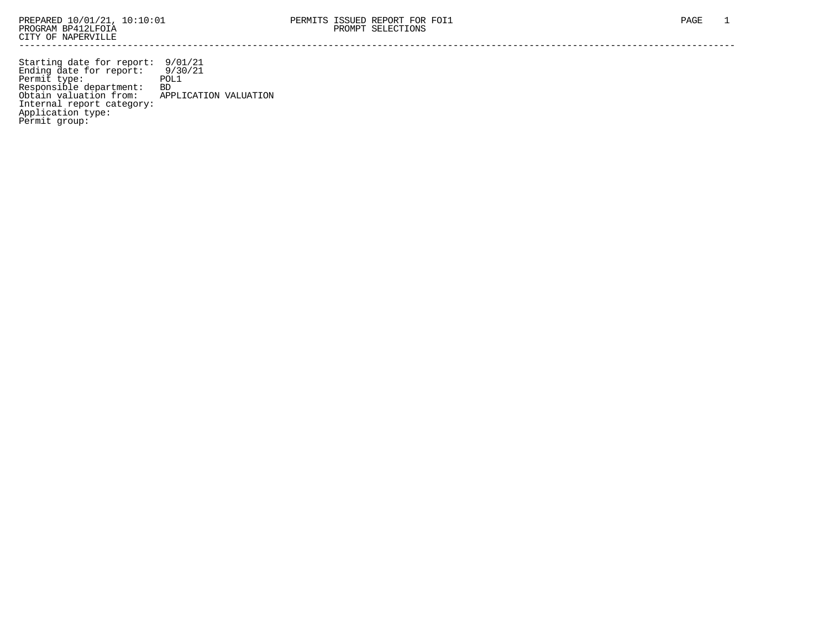Starting date for report: 9/01/21 Ending date for report: 9/30/21 Permit type: POL1 Responsible department: BD Obtain valuation from: APPLICATION VALUATION Internal report category: Application type: Permit group: